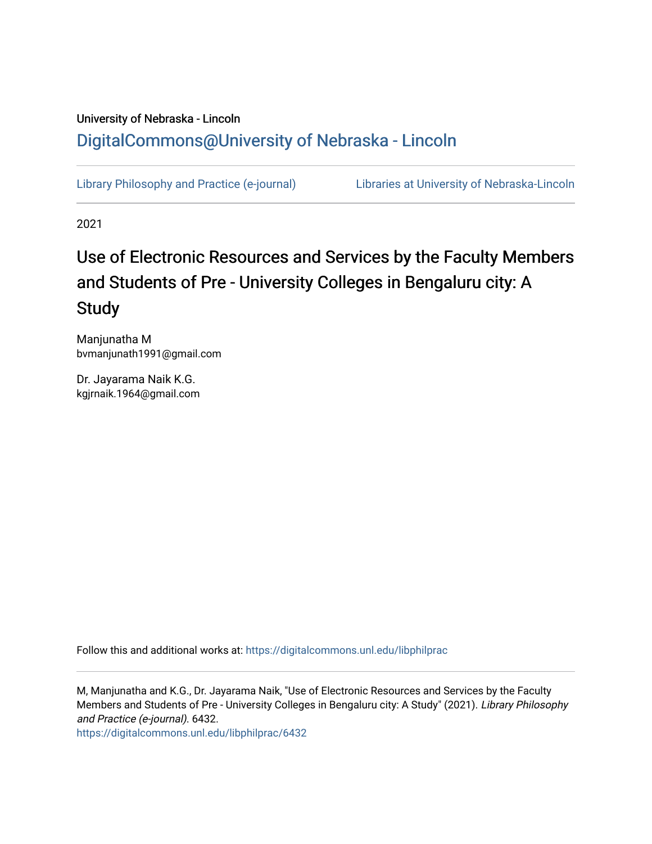## University of Nebraska - Lincoln [DigitalCommons@University of Nebraska - Lincoln](https://digitalcommons.unl.edu/)

[Library Philosophy and Practice \(e-journal\)](https://digitalcommons.unl.edu/libphilprac) [Libraries at University of Nebraska-Lincoln](https://digitalcommons.unl.edu/libraries) 

2021

# Use of Electronic Resources and Services by the Faculty Members and Students of Pre - University Colleges in Bengaluru city: A Study

Manjunatha M bvmanjunath1991@gmail.com

Dr. Jayarama Naik K.G. kgjrnaik.1964@gmail.com

Follow this and additional works at: [https://digitalcommons.unl.edu/libphilprac](https://digitalcommons.unl.edu/libphilprac?utm_source=digitalcommons.unl.edu%2Flibphilprac%2F6432&utm_medium=PDF&utm_campaign=PDFCoverPages) 

M, Manjunatha and K.G., Dr. Jayarama Naik, "Use of Electronic Resources and Services by the Faculty Members and Students of Pre - University Colleges in Bengaluru city: A Study" (2021). Library Philosophy and Practice (e-journal). 6432.

[https://digitalcommons.unl.edu/libphilprac/6432](https://digitalcommons.unl.edu/libphilprac/6432?utm_source=digitalcommons.unl.edu%2Flibphilprac%2F6432&utm_medium=PDF&utm_campaign=PDFCoverPages)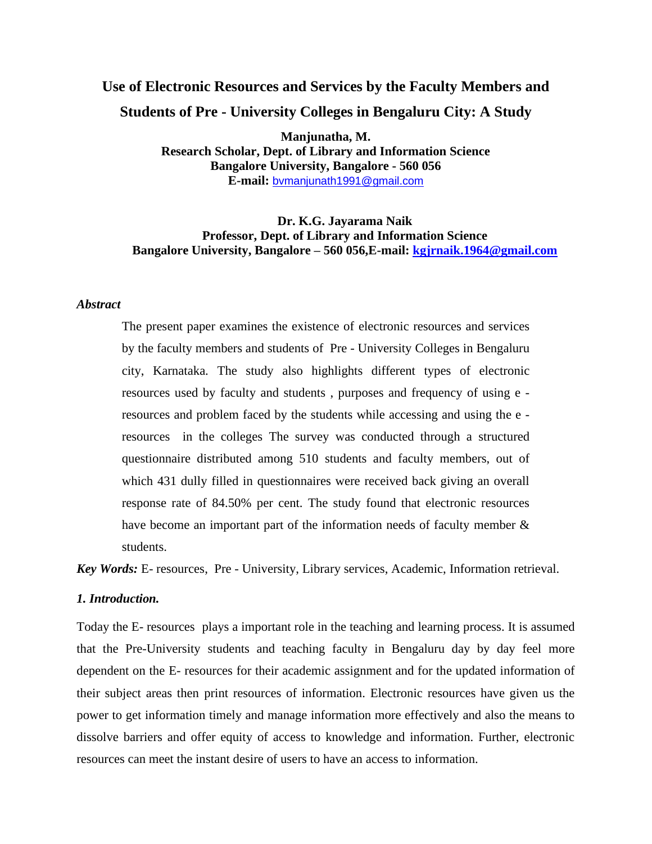## **Use of Electronic Resources and Services by the Faculty Members and Students of Pre - University Colleges in Bengaluru City: A Study**

**Manjunatha, M. Research Scholar, Dept. of Library and Information Science Bangalore University, Bangalore - 560 056 E-mail:** [bvmanjunath1991@gmail.com](mailto:vijaymanjunatha22@gmail.com)

## **Dr. K.G. Jayarama Naik Professor, Dept. of Library and Information Science Bangalore University, Bangalore – 560 056,E-mail: [kgjrnaik.1964@gmail.com](mailto:kgjrnaik.1964@gmail.com)**

#### *Abstract*

The present paper examines the existence of electronic resources and services by the faculty members and students of Pre - University Colleges in Bengaluru city, Karnataka. The study also highlights different types of electronic resources used by faculty and students , purposes and frequency of using e resources and problem faced by the students while accessing and using the e resources in the colleges The survey was conducted through a structured questionnaire distributed among 510 students and faculty members, out of which 431 dully filled in questionnaires were received back giving an overall response rate of 84.50% per cent. The study found that electronic resources have become an important part of the information needs of faculty member  $\&$ students.

*Key Words:* E- resources, Pre - University, Library services, Academic, Information retrieval.

## *1. Introduction.*

Today the E- resources plays a important role in the teaching and learning process. It is assumed that the Pre-University students and teaching faculty in Bengaluru day by day feel more dependent on the E- resources for their academic assignment and for the updated information of their subject areas then print resources of information. Electronic resources have given us the power to get information timely and manage information more effectively and also the means to dissolve barriers and offer equity of access to knowledge and information. Further, electronic resources can meet the instant desire of users to have an access to information.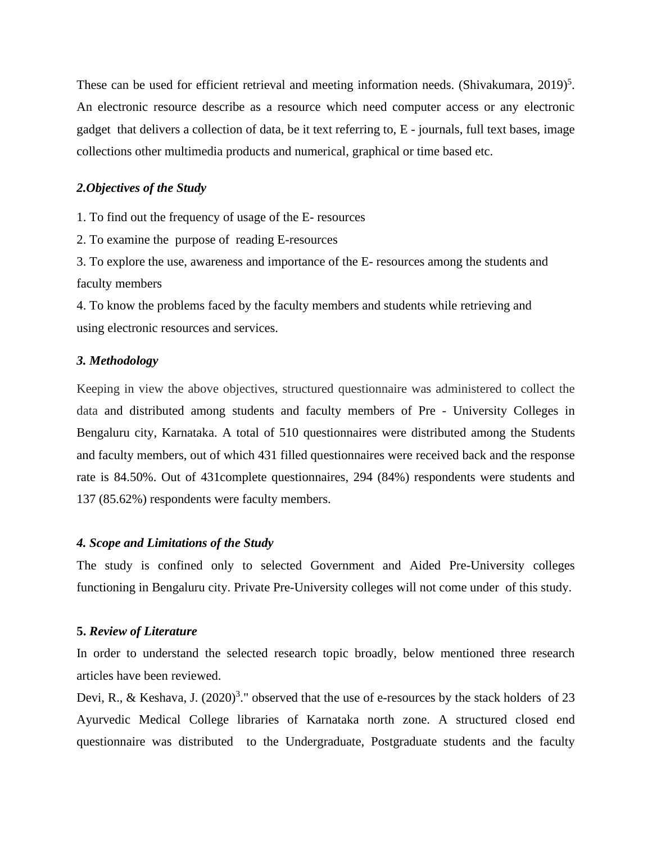These can be used for efficient retrieval and meeting information needs. (Shivakumara,  $2019$ )<sup>5</sup>. An electronic resource describe as a resource which need computer access or any electronic gadget that delivers a collection of data, be it text referring to, E - journals, full text bases, image collections other multimedia products and numerical, graphical or time based etc.

## *2.Objectives of the Study*

1. To find out the frequency of usage of the E- resources

2. To examine the purpose of reading E-resources

3. To explore the use, awareness and importance of the E- resources among the students and faculty members

4. To know the problems faced by the faculty members and students while retrieving and using electronic resources and services.

#### *3. Methodology*

Keeping in view the above objectives, structured questionnaire was administered to collect the data and distributed among students and faculty members of Pre - University Colleges in Bengaluru city, Karnataka. A total of 510 questionnaires were distributed among the Students and faculty members, out of which 431 filled questionnaires were received back and the response rate is 84.50%. Out of 431complete questionnaires, 294 (84%) respondents were students and 137 (85.62%) respondents were faculty members.

#### *4. Scope and Limitations of the Study*

The study is confined only to selected Government and Aided Pre-University colleges functioning in Bengaluru city. Private Pre-University colleges will not come under of this study.

#### **5.** *Review of Literature*

In order to understand the selected research topic broadly, below mentioned three research articles have been reviewed.

Devi, R., & Keshava, J.  $(2020)^3$ ." observed that the use of e-resources by the stack holders of 23 Ayurvedic Medical College libraries of Karnataka north zone. A structured closed end questionnaire was distributed to the Undergraduate, Postgraduate students and the faculty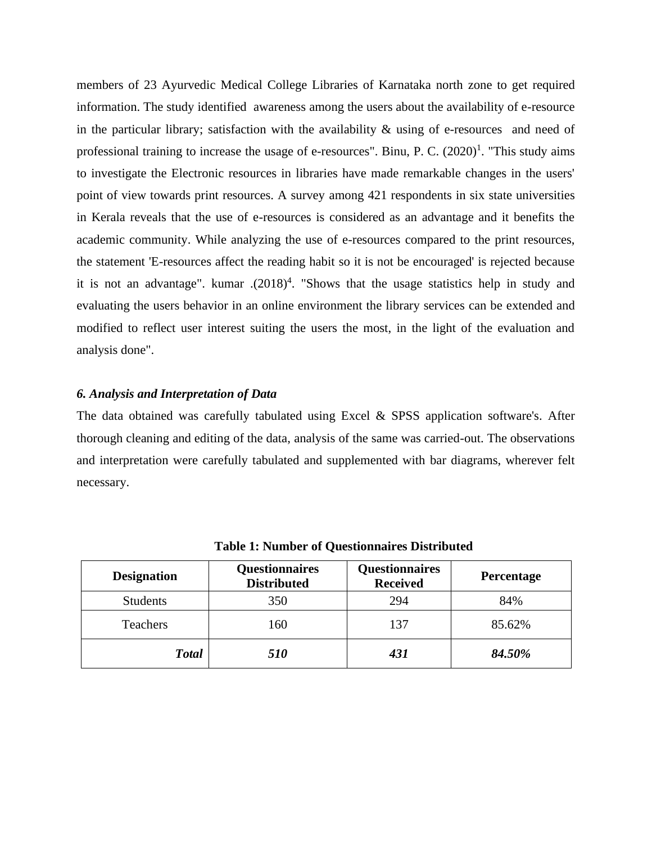members of 23 Ayurvedic Medical College Libraries of Karnataka north zone to get required information. The study identified awareness among the users about the availability of e-resource in the particular library; satisfaction with the availability  $\&$  using of e-resources and need of professional training to increase the usage of e-resources". Binu, P. C.  $(2020)^1$ . "This study aims to investigate the Electronic resources in libraries have made remarkable changes in the users' point of view towards print resources. A survey among 421 respondents in six state universities in Kerala reveals that the use of e-resources is considered as an advantage and it benefits the academic community. While analyzing the use of e-resources compared to the print resources, the statement 'E-resources affect the reading habit so it is not be encouraged' is rejected because it is not an advantage". kumar  $(2018)^4$ . "Shows that the usage statistics help in study and evaluating the users behavior in an online environment the library services can be extended and modified to reflect user interest suiting the users the most, in the light of the evaluation and analysis done".

## *6. Analysis and Interpretation of Data*

The data obtained was carefully tabulated using Excel & SPSS application software's. After thorough cleaning and editing of the data, analysis of the same was carried-out. The observations and interpretation were carefully tabulated and supplemented with bar diagrams, wherever felt necessary.

| <b>Designation</b> | <b>Questionnaires</b><br><b>Distributed</b> | <b>Questionnaires</b><br><b>Received</b> | Percentage |
|--------------------|---------------------------------------------|------------------------------------------|------------|
| <b>Students</b>    | 350                                         | 294                                      | 84%        |
| Teachers           | 160                                         | 137                                      | 85.62%     |
| <b>Total</b>       | <i>510</i>                                  | 431                                      | 84.50%     |

**Table 1: Number of Questionnaires Distributed**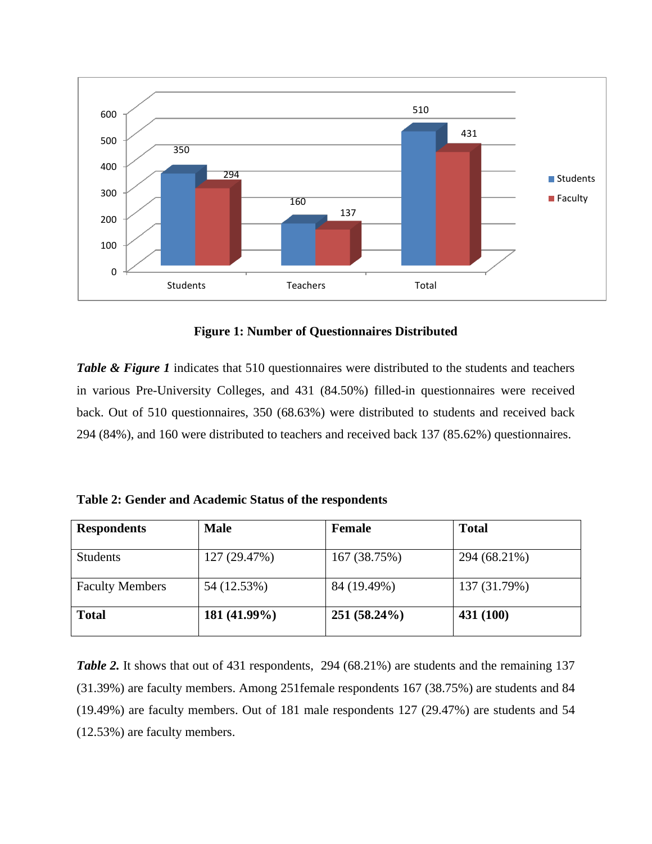

**Figure 1: Number of Questionnaires Distributed**

*Table & Figure 1* indicates that 510 questionnaires were distributed to the students and teachers in various Pre-University Colleges, and 431 (84.50%) filled-in questionnaires were received back. Out of 510 questionnaires, 350 (68.63%) were distributed to students and received back 294 (84%), and 160 were distributed to teachers and received back 137 (85.62%) questionnaires.

**Table 2: Gender and Academic Status of the respondents**

| <b>Respondents</b>     | <b>Male</b>  | <b>Female</b>  | <b>Total</b> |
|------------------------|--------------|----------------|--------------|
| <b>Students</b>        | 127 (29.47%) | 167 (38.75%)   | 294 (68.21%) |
| <b>Faculty Members</b> | 54 (12.53%)  | 84 (19.49%)    | 137 (31.79%) |
| <b>Total</b>           | 181 (41.99%) | $251(58.24\%)$ | 431 (100)    |

*Table 2.* It shows that out of 431 respondents, 294 (68.21%) are students and the remaining 137 (31.39%) are faculty members. Among 251female respondents 167 (38.75%) are students and 84 (19.49%) are faculty members. Out of 181 male respondents 127 (29.47%) are students and 54 (12.53%) are faculty members.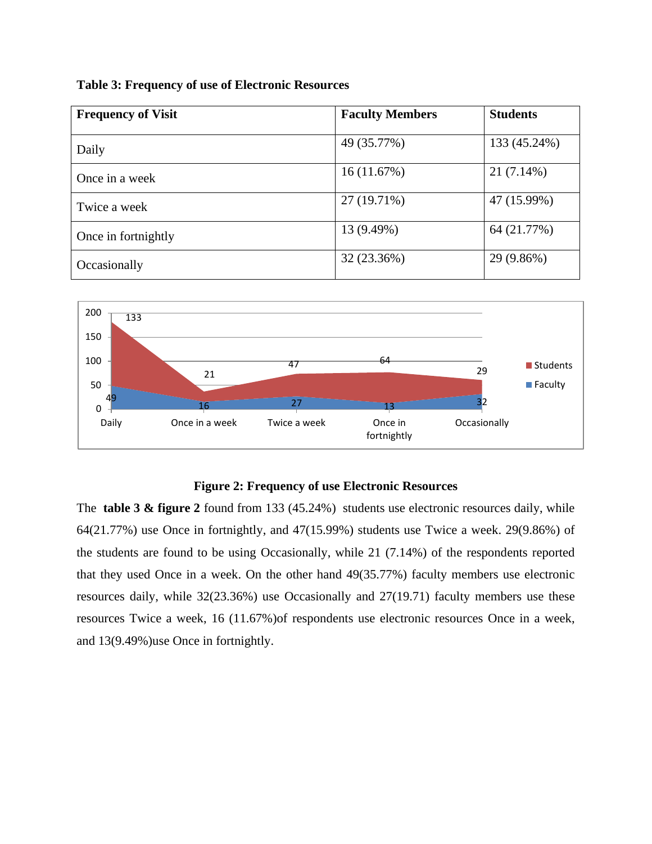**Table 3: Frequency of use of Electronic Resources**

| <b>Frequency of Visit</b> | <b>Faculty Members</b> | <b>Students</b> |  |
|---------------------------|------------------------|-----------------|--|
|                           |                        |                 |  |
| Daily                     | 49 (35.77%)            | 133 (45.24%)    |  |
| Once in a week            | 16(11.67%)             | 21 (7.14%)      |  |
| Twice a week              | 27 (19.71%)            | 47 (15.99%)     |  |
| Once in fortnightly       | 13 (9.49%)             | 64 (21.77%)     |  |
| Occasionally              | 32 (23.36%)            | 29 (9.86%)      |  |



## **Figure 2: Frequency of use Electronic Resources**

The **table 3 & figure 2** found from 133 (45.24%) students use electronic resources daily, while 64(21.77%) use Once in fortnightly, and 47(15.99%) students use Twice a week. 29(9.86%) of the students are found to be using Occasionally, while 21 (7.14%) of the respondents reported that they used Once in a week. On the other hand 49(35.77%) faculty members use electronic resources daily, while 32(23.36%) use Occasionally and 27(19.71) faculty members use these resources Twice a week, 16 (11.67%)of respondents use electronic resources Once in a week, and 13(9.49%)use Once in fortnightly.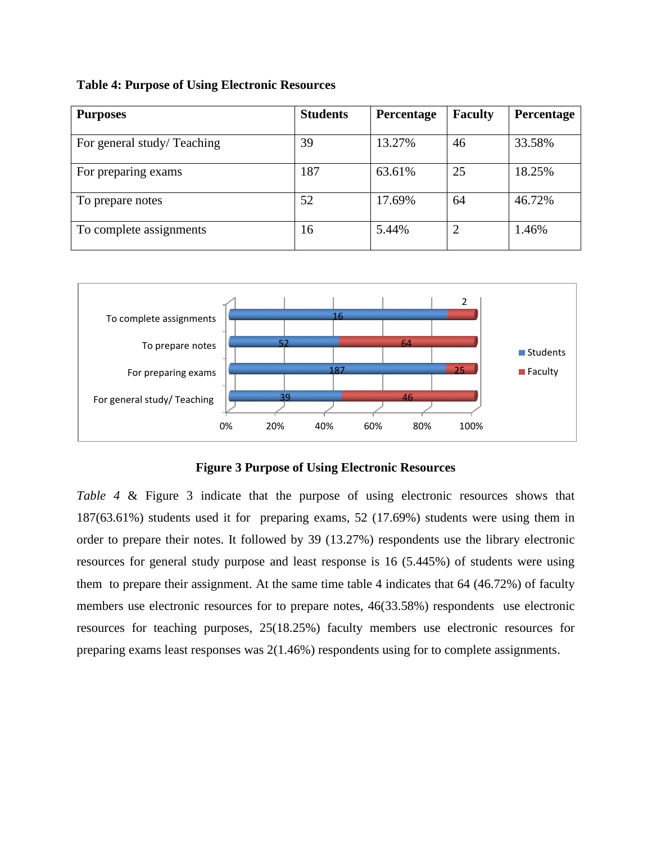## **Table 4: Purpose of Using Electronic Resources**

| <b>Purposes</b>            | <b>Students</b> | Percentage | <b>Faculty</b> | Percentage |
|----------------------------|-----------------|------------|----------------|------------|
| For general study/Teaching | 39              | 13.27%     | 46             | 33.58%     |
| For preparing exams        | 187             | 63.61%     | 25             | 18.25%     |
| To prepare notes           | 52              | 17.69%     | 64             | 46.72%     |
| To complete assignments    | 16              | 5.44%      | $\overline{2}$ | 1.46%      |



## **Figure 3 Purpose of Using Electronic Resources**

*Table 4* & Figure 3 indicate that the purpose of using electronic resources shows that 187(63.61%) students used it for preparing exams, 52 (17.69%) students were using them in order to prepare their notes. It followed by 39 (13.27%) respondents use the library electronic resources for general study purpose and least response is 16 (5.445%) of students were using them to prepare their assignment. At the same time table 4 indicates that 64 (46.72%) of faculty members use electronic resources for to prepare notes, 46(33.58%) respondents use electronic resources for teaching purposes, 25(18.25%) faculty members use electronic resources for preparing exams least responses was 2(1.46%) respondents using for to complete assignments.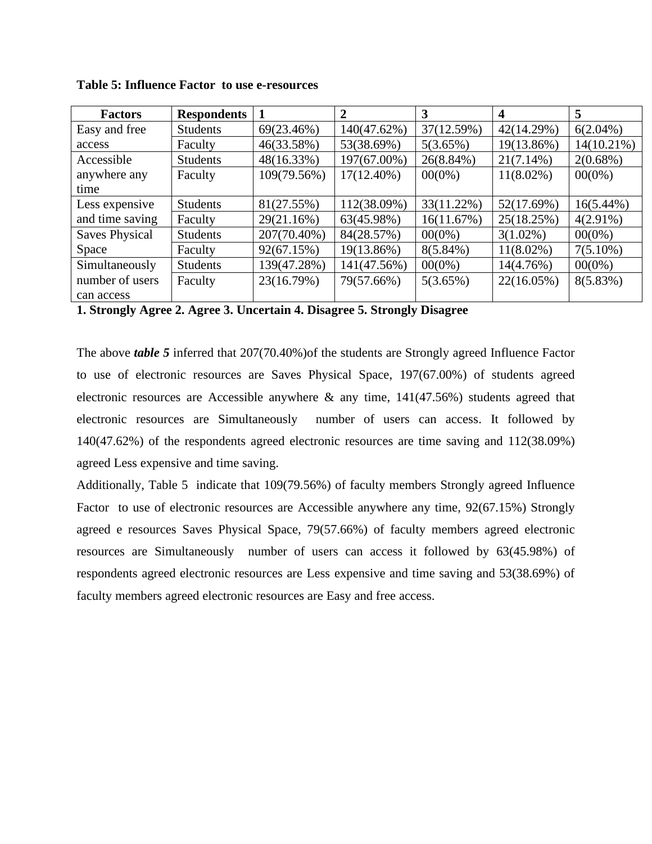**Table 5: Influence Factor to use e-resources**

| <b>Factors</b>        | <b>Respondents</b> |             |               | 3            | 4            | 5             |
|-----------------------|--------------------|-------------|---------------|--------------|--------------|---------------|
| Easy and free         | <b>Students</b>    | 69(23.46%)  | 140(47.62%)   | 37(12.59%)   | 42(14.29%)   | $6(2.04\%)$   |
| access                | Faculty            | 46(33.58%)  | 53(38.69%)    | 5(3.65%)     | 19(13.86%)   | $14(10.21\%)$ |
| Accessible            | <b>Students</b>    | 48(16.33%)  | 197(67.00%)   | $26(8.84\%)$ | $21(7.14\%)$ | $2(0.68\%)$   |
| anywhere any          | Faculty            | 109(79.56%) | $17(12.40\%)$ | $00(0\%)$    | $11(8.02\%)$ | $00(0\%)$     |
| time                  |                    |             |               |              |              |               |
| Less expensive        | <b>Students</b>    | 81(27.55%)  | 112(38.09%)   | 33(11.22%)   | 52(17.69%)   | $16(5.44\%)$  |
| and time saving       | Faculty            | 29(21.16%)  | 63(45.98%)    | 16(11.67%)   | 25(18.25%)   | $4(2.91\%)$   |
| <b>Saves Physical</b> | <b>Students</b>    | 207(70.40%) | 84(28.57%)    | $00(0\%)$    | $3(1.02\%)$  | $00(0\%)$     |
| Space                 | Faculty            | 92(67.15%)  | 19(13.86%)    | $8(5.84\%)$  | $11(8.02\%)$ | $7(5.10\%)$   |
| Simultaneously        | <b>Students</b>    | 139(47.28%) | 141(47.56%)   | $00(0\%)$    | 14(4.76%)    | $00(0\%)$     |
| number of users       | Faculty            | 23(16.79%)  | 79(57.66%)    | 5(3.65%)     | 22(16.05%)   | 8(5.83%)      |
| can access            |                    |             |               |              |              |               |

**1. Strongly Agree 2. Agree 3. Uncertain 4. Disagree 5. Strongly Disagree**

The above *table 5* inferred that 207(70.40%)of the students are Strongly agreed Influence Factor to use of electronic resources are Saves Physical Space, 197(67.00%) of students agreed electronic resources are Accessible anywhere & any time, 141(47.56%) students agreed that electronic resources are Simultaneously number of users can access. It followed by 140(47.62%) of the respondents agreed electronic resources are time saving and 112(38.09%) agreed Less expensive and time saving.

Additionally, Table 5 indicate that 109(79.56%) of faculty members Strongly agreed Influence Factor to use of electronic resources are Accessible anywhere any time, 92(67.15%) Strongly agreed e resources Saves Physical Space, 79(57.66%) of faculty members agreed electronic resources are Simultaneously number of users can access it followed by 63(45.98%) of respondents agreed electronic resources are Less expensive and time saving and 53(38.69%) of faculty members agreed electronic resources are Easy and free access.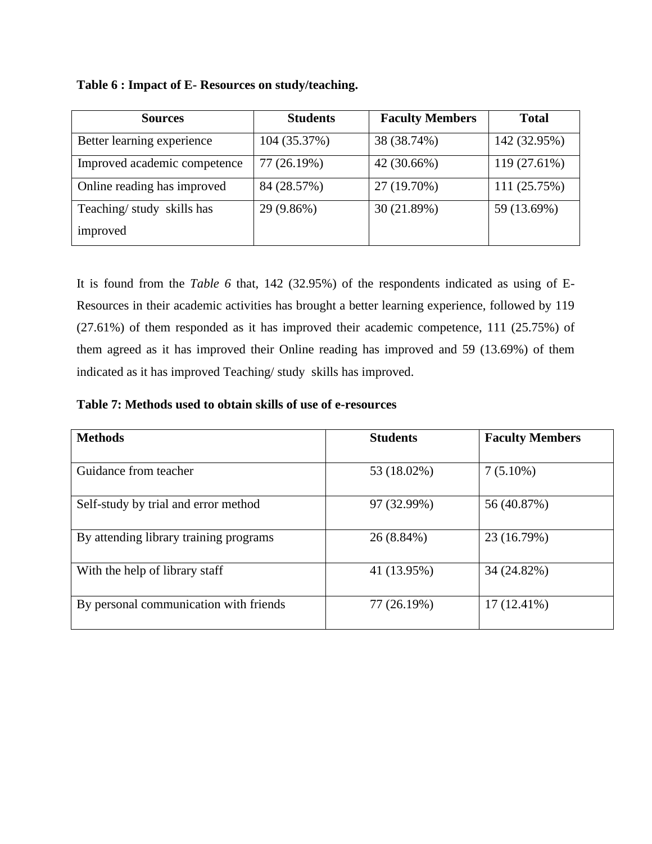| <b>Sources</b>               | <b>Students</b> | <b>Faculty Members</b> | <b>Total</b> |
|------------------------------|-----------------|------------------------|--------------|
| Better learning experience   | 104 (35.37%)    | 38 (38.74%)            | 142 (32.95%) |
| Improved academic competence | 77 (26.19%)     | 42 (30.66%)            | 119 (27.61%) |
| Online reading has improved  | 84 (28.57%)     | 27 (19.70%)            | 111 (25.75%) |
| Teaching/study skills has    | 29 (9.86%)      | 30 (21.89%)            | 59 (13.69%)  |
| improved                     |                 |                        |              |

**Table 6 : Impact of E- Resources on study/teaching.**

It is found from the *Table 6* that, 142 (32.95%) of the respondents indicated as using of E-Resources in their academic activities has brought a better learning experience, followed by 119 (27.61%) of them responded as it has improved their academic competence, 111 (25.75%) of them agreed as it has improved their Online reading has improved and 59 (13.69%) of them indicated as it has improved Teaching/ study skills has improved.

**Table 7: Methods used to obtain skills of use of e-resources**

| <b>Methods</b>                         | <b>Students</b> | <b>Faculty Members</b> |
|----------------------------------------|-----------------|------------------------|
| Guidance from teacher                  | 53 (18.02%)     | $7(5.10\%)$            |
| Self-study by trial and error method   | 97 (32.99%)     | 56 (40.87%)            |
| By attending library training programs | 26 (8.84%)      | 23 (16.79%)            |
| With the help of library staff         | 41 (13.95%)     | 34 (24.82%)            |
| By personal communication with friends | 77 (26.19%)     | $17(12.41\%)$          |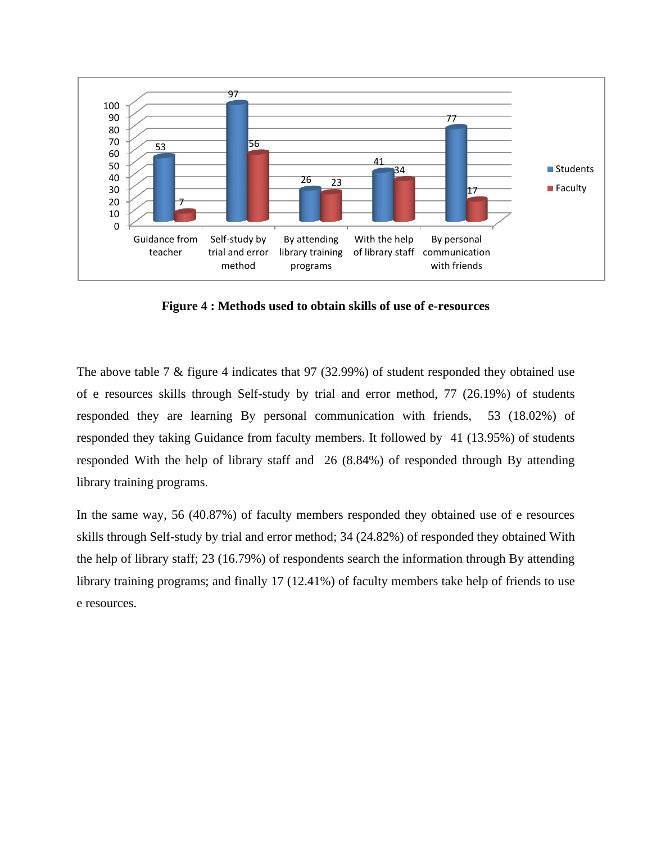

**Figure 4 : Methods used to obtain skills of use of e-resources**

The above table 7 & figure 4 indicates that 97 (32.99%) of student responded they obtained use of e resources skills through Self-study by trial and error method, 77 (26.19%) of students responded they are learning By personal communication with friends, 53 (18.02%) of responded they taking Guidance from faculty members. It followed by 41 (13.95%) of students responded With the help of library staff and 26 (8.84%) of responded through By attending library training programs.

In the same way, 56 (40.87%) of faculty members responded they obtained use of e resources skills through Self-study by trial and error method; 34 (24.82%) of responded they obtained With the help of library staff; 23 (16.79%) of respondents search the information through By attending library training programs; and finally 17 (12.41%) of faculty members take help of friends to use e resources.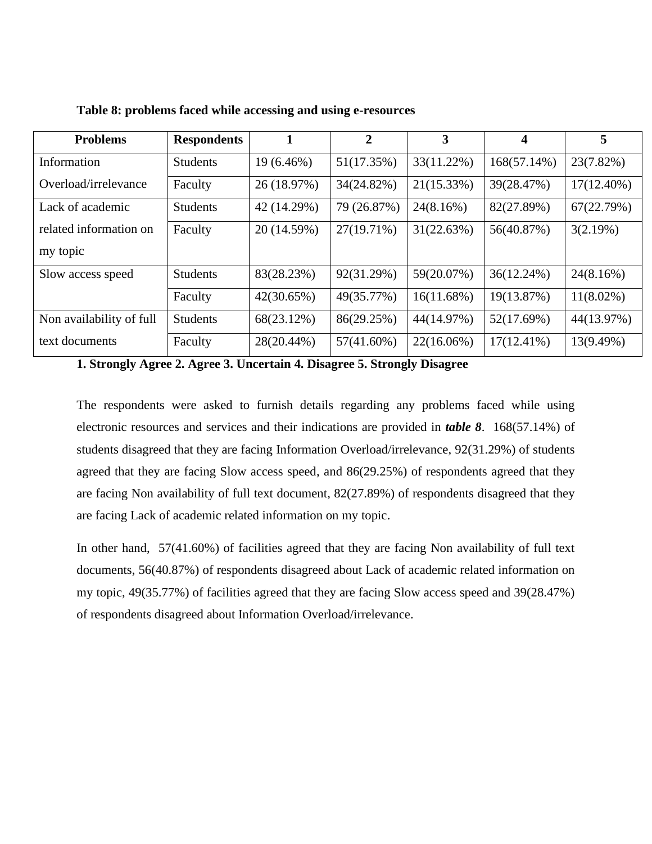| <b>Problems</b>          | <b>Respondents</b> |              | $\overline{2}$ | 3             | 4             | 5            |
|--------------------------|--------------------|--------------|----------------|---------------|---------------|--------------|
| Information              | <b>Students</b>    | $19(6.46\%)$ | 51(17.35%)     | 33(11.22%)    | 168(57.14%)   | 23(7.82%)    |
| Overload/irrelevance     | Faculty            | 26 (18.97%)  | 34(24.82%)     | 21(15.33%)    | 39(28.47%)    | 17(12.40%)   |
| Lack of academic         | <b>Students</b>    | 42 (14.29%)  | 79 (26.87%)    | 24(8.16%)     | 82(27.89%)    | 67(22.79%)   |
| related information on   | Faculty            | 20 (14.59%)  | 27(19.71%)     | 31(22.63%)    | 56(40.87%)    | 3(2.19%)     |
| my topic                 |                    |              |                |               |               |              |
| Slow access speed        | <b>Students</b>    | 83(28.23%)   | 92(31.29%)     | 59(20.07%)    | 36(12.24%)    | 24(8.16%)    |
|                          | Faculty            | 42(30.65%)   | 49(35.77%)     | $16(11.68\%)$ | 19(13.87%)    | $11(8.02\%)$ |
| Non availability of full | <b>Students</b>    | 68(23.12%)   | 86(29.25%)     | 44(14.97%)    | 52(17.69%)    | 44(13.97%)   |
| text documents           | Faculty            | 28(20.44%)   | $57(41.60\%)$  | $22(16.06\%)$ | $17(12.41\%)$ | 13(9.49%)    |

**Table 8: problems faced while accessing and using e-resources**

**1. Strongly Agree 2. Agree 3. Uncertain 4. Disagree 5. Strongly Disagree**

The respondents were asked to furnish details regarding any problems faced while using electronic resources and services and their indications are provided in *table 8*. 168(57.14%) of students disagreed that they are facing Information Overload/irrelevance, 92(31.29%) of students agreed that they are facing Slow access speed, and 86(29.25%) of respondents agreed that they are facing Non availability of full text document, 82(27.89%) of respondents disagreed that they are facing Lack of academic related information on my topic.

In other hand, 57(41.60%) of facilities agreed that they are facing Non availability of full text documents, 56(40.87%) of respondents disagreed about Lack of academic related information on my topic, 49(35.77%) of facilities agreed that they are facing Slow access speed and 39(28.47%) of respondents disagreed about Information Overload/irrelevance.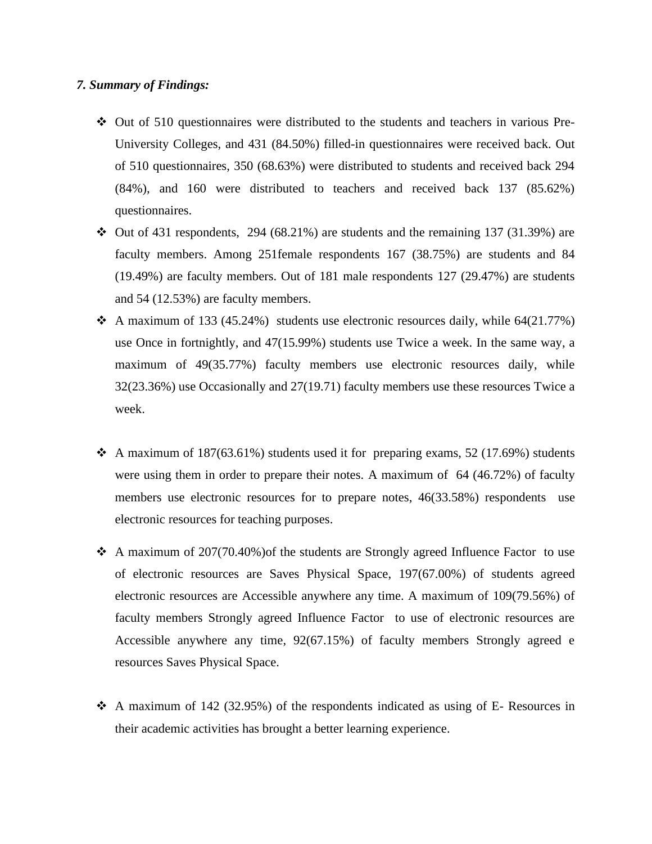## *7. Summary of Findings:*

- ❖ Out of 510 questionnaires were distributed to the students and teachers in various Pre-University Colleges, and 431 (84.50%) filled-in questionnaires were received back. Out of 510 questionnaires, 350 (68.63%) were distributed to students and received back 294 (84%), and 160 were distributed to teachers and received back 137 (85.62%) questionnaires.
- $\div$  Out of 431 respondents, 294 (68.21%) are students and the remaining 137 (31.39%) are faculty members. Among 251female respondents 167 (38.75%) are students and 84 (19.49%) are faculty members. Out of 181 male respondents 127 (29.47%) are students and 54 (12.53%) are faculty members.
- $\triangleleft$  A maximum of 133 (45.24%) students use electronic resources daily, while 64(21.77%) use Once in fortnightly, and 47(15.99%) students use Twice a week. In the same way, a maximum of 49(35.77%) faculty members use electronic resources daily, while 32(23.36%) use Occasionally and 27(19.71) faculty members use these resources Twice a week.
- $\triangleleft$  A maximum of 187(63.61%) students used it for preparing exams, 52 (17.69%) students were using them in order to prepare their notes. A maximum of 64 (46.72%) of faculty members use electronic resources for to prepare notes, 46(33.58%) respondents use electronic resources for teaching purposes.
- $\div$  A maximum of 207(70.40%) of the students are Strongly agreed Influence Factor to use of electronic resources are Saves Physical Space, 197(67.00%) of students agreed electronic resources are Accessible anywhere any time. A maximum of 109(79.56%) of faculty members Strongly agreed Influence Factor to use of electronic resources are Accessible anywhere any time, 92(67.15%) of faculty members Strongly agreed e resources Saves Physical Space.
- ❖ A maximum of 142 (32.95%) of the respondents indicated as using of E- Resources in their academic activities has brought a better learning experience.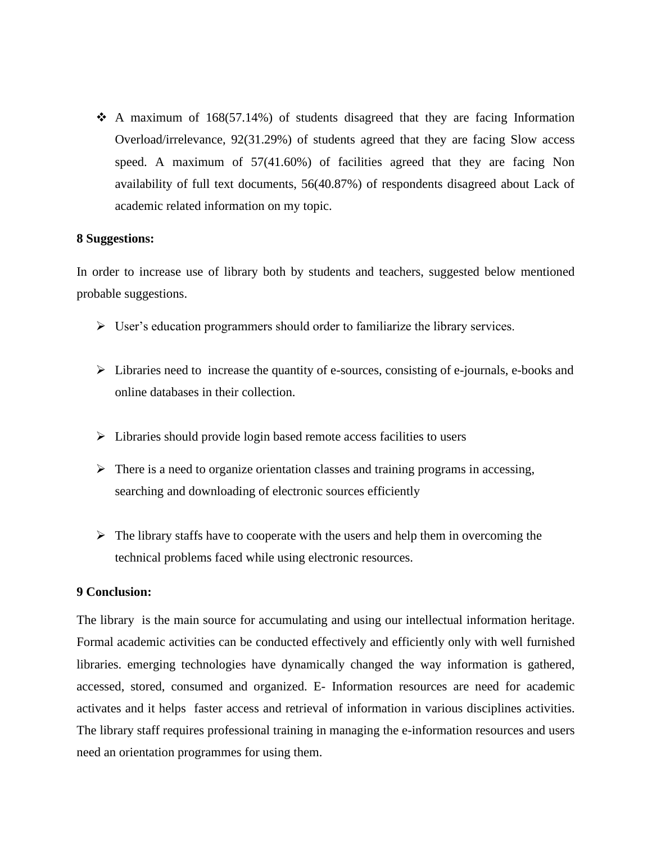$\triangle$  A maximum of 168(57.14%) of students disagreed that they are facing Information Overload/irrelevance, 92(31.29%) of students agreed that they are facing Slow access speed. A maximum of 57(41.60%) of facilities agreed that they are facing Non availability of full text documents, 56(40.87%) of respondents disagreed about Lack of academic related information on my topic.

#### **8 Suggestions:**

In order to increase use of library both by students and teachers, suggested below mentioned probable suggestions.

- ➢ User's education programmers should order to familiarize the library services.
- ➢ Libraries need to increase the quantity of e-sources, consisting of e-journals, e-books and online databases in their collection.
- ➢ Libraries should provide login based remote access facilities to users
- $\triangleright$  There is a need to organize orientation classes and training programs in accessing, searching and downloading of electronic sources efficiently
- $\triangleright$  The library staffs have to cooperate with the users and help them in overcoming the technical problems faced while using electronic resources.

## **9 Conclusion:**

The library is the main source for accumulating and using our intellectual information heritage. Formal academic activities can be conducted effectively and efficiently only with well furnished libraries. emerging technologies have dynamically changed the way information is gathered, accessed, stored, consumed and organized. E- Information resources are need for academic activates and it helps faster access and retrieval of information in various disciplines activities. The library staff requires professional training in managing the e-information resources and users need an orientation programmes for using them.